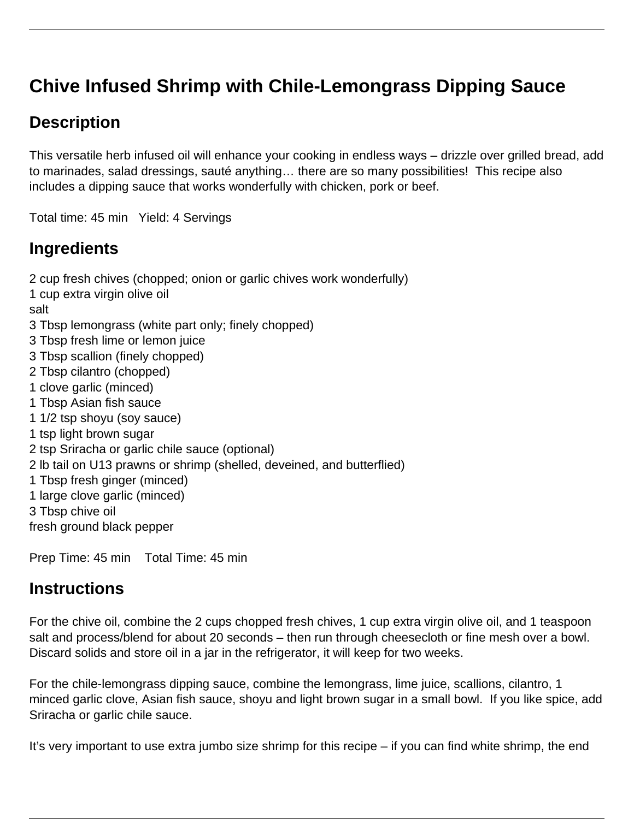# **Chive Infused Shrimp with Chile-Lemongrass Dipping Sauce**

## **Description**

This versatile herb infused oil will enhance your cooking in endless ways – drizzle over grilled bread, add to marinades, salad dressings, sauté anything… there are so many possibilities! This recipe also includes a dipping sauce that works wonderfully with chicken, pork or beef.

Total time: 45 min Yield: 4 Servings

### **Ingredients**

2 cup fresh chives (chopped; onion or garlic chives work wonderfully)

1 cup extra virgin olive oil

salt

- 3 Tbsp lemongrass (white part only; finely chopped)
- 3 Tbsp fresh lime or lemon juice
- 3 Tbsp scallion (finely chopped)
- 2 Tbsp cilantro (chopped)
- 1 clove garlic (minced)
- 1 Tbsp Asian fish sauce
- 1 1/2 tsp shoyu (soy sauce)
- 1 tsp light brown sugar
- 2 tsp Sriracha or garlic chile sauce (optional)
- 2 lb tail on U13 prawns or shrimp (shelled, deveined, and butterflied)
- 1 Tbsp fresh ginger (minced)
- 1 large clove garlic (minced)
- 3 Tbsp chive oil
- fresh ground black pepper

Prep Time: 45 min Total Time: 45 min

### **Instructions**

For the chive oil, combine the 2 cups chopped fresh chives, 1 cup extra virgin olive oil, and 1 teaspoon salt and process/blend for about 20 seconds – then run through cheesecloth or fine mesh over a bowl. Discard solids and store oil in a jar in the refrigerator, it will keep for two weeks.

For the chile-lemongrass dipping sauce, combine the lemongrass, lime juice, scallions, cilantro, 1 minced garlic clove, Asian fish sauce, shoyu and light brown sugar in a small bowl. If you like spice, add Sriracha or garlic chile sauce.

It's very important to use extra jumbo size shrimp for this recipe – if you can find white shrimp, the end